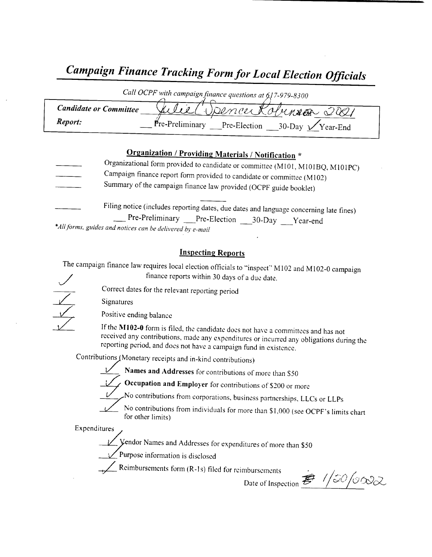## Campaign Finance Tracking Form for Local Election Officials

| Call OCPF with campaign finance questions at 617-979-8300 |                                                                   |  |  |
|-----------------------------------------------------------|-------------------------------------------------------------------|--|--|
| <b>Candidate or Committee</b>                             | 1 Dénou Kolunier 2021                                             |  |  |
| Report:                                                   | $Pre-Preliminary$<br>Pre-Election<br>$30$ -Day $\sqrt{Y}$ ear-End |  |  |

## Organization / Providing Materials/ Notification \*

- Organizational form provided to candidate or committee (M101, M101BQ, M101PC) Campaign finance report form provided to candidate or committee ( M102) Summary of the campaign finance law provided( OCPF guide booklet)
- Filing notice (includes reporting dates, due dates and language concerning late fines) Pre-Preliminary Pre-Election 30-Day Year-end \*All forms, guides and notices can be delivered by e-mail

## Inspecting Reports

The campaign finance law requires local election officials to "inspect" M102 and M102-0 campaign finance reports within 30 days of <sup>a</sup> due date.

Signatures

Positive ending balance

If the M102-0 form is filed, the candidate does not have a committees and has not received any contributions, made any expenditures or incurred any obligations during the reporting period, and does not have a campaign fund in existence.

Contributions (Monetary receipts and in-kind contributions)

Correct dates for the relevant reporting period

Names and Addresses for contributions of more than S50



 $\sim$  Occupation and Employer for contributions of \$200 or more

No contributions from corporations, business partnerships, LLCs or LLPs

No contributions from individuals for more than \$1,000 (see OCPF's limits chart for other limits)

Expenditures

Vendor Names and Addresses for expenditures of more than \$50

Purpose information is disclosed

 $\sum$  Reimbursements form (R-1s) filed for reimbursements

mbursements<br>Date of Inspection  $\vec{E}$  /  $\frac{1}{2}$  /  $\frac{1}{2}$  /  $\frac{1}{2}$  /  $\frac{1}{2}$  /  $\frac{1}{2}$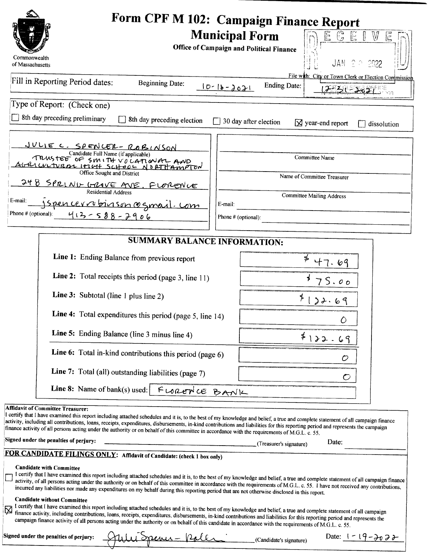|                                                                                                                                                                                                                                                                                                                                                                                                                                                                                                                                                                                                              | Form CPF M 102: Campaign Finance Report                                                                                         |
|--------------------------------------------------------------------------------------------------------------------------------------------------------------------------------------------------------------------------------------------------------------------------------------------------------------------------------------------------------------------------------------------------------------------------------------------------------------------------------------------------------------------------------------------------------------------------------------------------------------|---------------------------------------------------------------------------------------------------------------------------------|
| Commonwealth<br>of Massachusetts                                                                                                                                                                                                                                                                                                                                                                                                                                                                                                                                                                             | $\mathbb{G}$ E<br><b>Municipal Form</b><br>$\mathbb {W}$<br>E.<br>E<br>Office of Campaign and Political Finance<br>JAN 2 0 2022 |
| Fill in Reporting Period dates:<br><b>Beginning Date:</b>                                                                                                                                                                                                                                                                                                                                                                                                                                                                                                                                                    | File with: City or Town Clerk or Election Commission<br><b>Ending Date:</b><br>$10 - 16 - 2021$<br><b>J-15 1-1827 105</b>       |
| Type of Report: (Check one)                                                                                                                                                                                                                                                                                                                                                                                                                                                                                                                                                                                  |                                                                                                                                 |
| 8th day preceding preliminary<br>8th day preceding election                                                                                                                                                                                                                                                                                                                                                                                                                                                                                                                                                  | 30 day after election<br>$\boxtimes$ year-end report<br>dissolution                                                             |
| <u>JULIE C. SPENCER-ROBINSON</u><br>Candidate Full Name (if applicable)<br>TRUSTEE OF SMITH VOLATIONAL AND<br>Office Sought and District                                                                                                                                                                                                                                                                                                                                                                                                                                                                     | Committee Name                                                                                                                  |
| 248 SPRING GROVE AVE, FLORENCE<br><b>Residential Address</b><br>E-mail:<br>jspencerrobinson@gmail.com                                                                                                                                                                                                                                                                                                                                                                                                                                                                                                        | Name of Committee Treasurer<br><b>Committee Mailing Address</b><br>E-mail:                                                      |
| Phone # (optional):<br>413-588-2906                                                                                                                                                                                                                                                                                                                                                                                                                                                                                                                                                                          | Phone # (optional):                                                                                                             |
| <b>SUMMARY BALANCE INFORMATION:</b>                                                                                                                                                                                                                                                                                                                                                                                                                                                                                                                                                                          |                                                                                                                                 |
| Line 1: Ending Balance from previous report                                                                                                                                                                                                                                                                                                                                                                                                                                                                                                                                                                  | 47.69                                                                                                                           |
| Line 2: Total receipts this period (page 3, line 11)                                                                                                                                                                                                                                                                                                                                                                                                                                                                                                                                                         | 75.00                                                                                                                           |
| Line 3: Subtotal (line 1 plus line 2)                                                                                                                                                                                                                                                                                                                                                                                                                                                                                                                                                                        | ≸<br>22.6                                                                                                                       |
| Line 4: Total expenditures this period (page 5, line 14)                                                                                                                                                                                                                                                                                                                                                                                                                                                                                                                                                     | Ŏ                                                                                                                               |
| Line 5: Ending Balance (line 3 minus line 4)                                                                                                                                                                                                                                                                                                                                                                                                                                                                                                                                                                 | $*122.69$                                                                                                                       |
| Line 6: Total in-kind contributions this period (page 6)                                                                                                                                                                                                                                                                                                                                                                                                                                                                                                                                                     | $\mathcal{O}$                                                                                                                   |
| Line 7: Total (all) outstanding liabilities (page 7)                                                                                                                                                                                                                                                                                                                                                                                                                                                                                                                                                         |                                                                                                                                 |
| Line 8: Name of bank(s) used: $\begin{bmatrix} F & \cup & \text{even} \cup \\ \text{odd} & F & \end{bmatrix}$                                                                                                                                                                                                                                                                                                                                                                                                                                                                                                |                                                                                                                                 |
| <b>Affidavit of Committee Treasurer:</b><br>I certify that I have examined this report including attached schedules and it is, to the best of my knowledge and belief, a true and complete statement of all campaign finance<br>activity, including all contributions, loans, receipts, expenditures, disbursements, in-kind contributions and liabilities for this reporting period and represents the campaign<br>finance activity of all persons acting under the authority or on behalf of this committee in accordance with the requirements of M.G.L. c. 55.<br>Signed under the penalties of perjury: | Date:<br>(Treasurer's signature)                                                                                                |
| FOR CANDIDATE FILINGS ONLY: Affidavit of Candidate: (check 1 box only)                                                                                                                                                                                                                                                                                                                                                                                                                                                                                                                                       |                                                                                                                                 |
| <b>Candidate with Committee</b><br>I certify that I have examined this report including attached schedules and it is, to the best of my knowledge and belief, a true and complete statement of all campaign finance<br>activity, of all persons acting under the authority or on behalf of this committee in accordance with the requirements of M.G.L. c. 55. I have not received any contributions,<br>incurred any liabilities nor made any expenditures on my behalf during this reporting period that are not otherwise disclosed in this report.                                                       |                                                                                                                                 |
| <b>Candidate without Committee</b><br>I certify that I have examined this report including attached schedules and it is, to the best of my knowledge and belief, a true and complete statement of all campaign<br>1 certify that I have examined this report including attached schedules and it is, to the best statistic statistics for this reporting period and represents the finance activity, including contributions, loans, receipts, e<br>campaign finance activity of all persons acting under the authority or on behalf of this candidate in accordance with the requirements of M.G.L. c. 55.  |                                                                                                                                 |
| Signed under the penalties of perjury:<br>fulu Speni - Poler                                                                                                                                                                                                                                                                                                                                                                                                                                                                                                                                                 | Date: $1 - 19 - 302$<br>(Candidate's signature)                                                                                 |